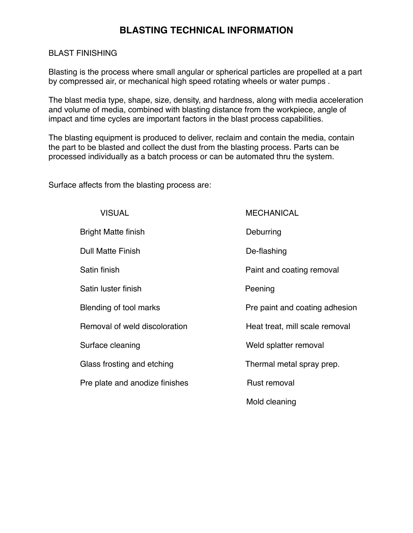## BLAST FINISHING

Blasting is the process where small angular or spherical particles are propelled at a part by compressed air, or mechanical high speed rotating wheels or water pumps .

The blast media type, shape, size, density, and hardness, along with media acceleration and volume of media, combined with blasting distance from the workpiece, angle of impact and time cycles are important factors in the blast process capabilities.

The blasting equipment is produced to deliver, reclaim and contain the media, contain the part to be blasted and collect the dust from the blasting process. Parts can be processed individually as a batch process or can be automated thru the system.

Surface affects from the blasting process are:

| <b>VISUAL</b>                  | <b>MECHANICAL</b>              |
|--------------------------------|--------------------------------|
| <b>Bright Matte finish</b>     | Deburring                      |
| <b>Dull Matte Finish</b>       | De-flashing                    |
| Satin finish                   | Paint and coating removal      |
| Satin luster finish            | Peening                        |
| Blending of tool marks         | Pre paint and coating adhesion |
| Removal of weld discoloration  | Heat treat, mill scale removal |
| Surface cleaning               | Weld splatter removal          |
| Glass frosting and etching     | Thermal metal spray prep.      |
| Pre plate and anodize finishes | Rust removal                   |
|                                | Mold cleaning                  |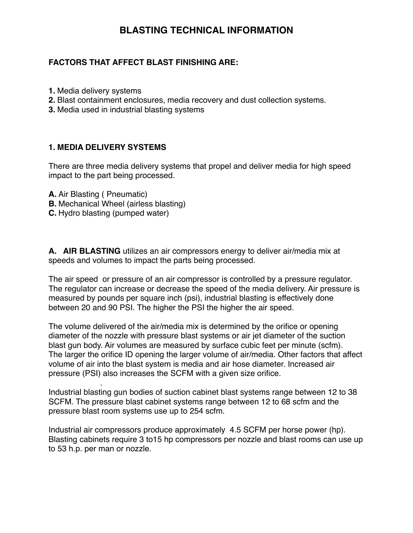## **FACTORS THAT AFFECT BLAST FINISHING ARE:**

- **1.** Media delivery systems
- **2.** Blast containment enclosures, media recovery and dust collection systems.
- **3.** Media used in industrial blasting systems

## **1. MEDIA DELIVERY SYSTEMS**

There are three media delivery systems that propel and deliver media for high speed impact to the part being processed.

**A.** Air Blasting ( Pneumatic)

.

- **B.** Mechanical Wheel (airless blasting)
- **C.** Hydro blasting (pumped water)

**A. AIR BLASTING** utilizes an air compressors energy to deliver air/media mix at speeds and volumes to impact the parts being processed.

The air speed or pressure of an air compressor is controlled by a pressure regulator. The regulator can increase or decrease the speed of the media delivery. Air pressure is measured by pounds per square inch (psi), industrial blasting is effectively done between 20 and 90 PSI. The higher the PSI the higher the air speed.

The volume delivered of the air/media mix is determined by the orifice or opening diameter of the nozzle with pressure blast systems or air jet diameter of the suction blast gun body. Air volumes are measured by surface cubic feet per minute (scfm). The larger the orifice ID opening the larger volume of air/media. Other factors that affect volume of air into the blast system is media and air hose diameter. Increased air pressure (PSI) also increases the SCFM with a given size orifice.

Industrial blasting gun bodies of suction cabinet blast systems range between 12 to 38 SCFM. The pressure blast cabinet systems range between 12 to 68 scfm and the pressure blast room systems use up to 254 scfm.

Industrial air compressors produce approximately 4.5 SCFM per horse power (hp). Blasting cabinets require 3 to15 hp compressors per nozzle and blast rooms can use up to 53 h.p. per man or nozzle.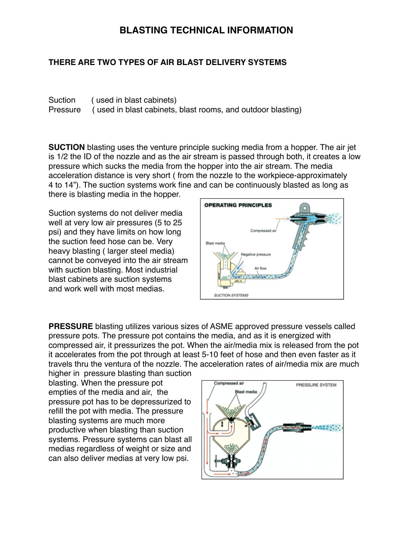## **THERE ARE TWO TYPES OF AIR BLAST DELIVERY SYSTEMS**

Suction ( used in blast cabinets) Pressure ( used in blast cabinets, blast rooms, and outdoor blasting)

**SUCTION** blasting uses the venture principle sucking media from a hopper. The air jet is 1/2 the ID of the nozzle and as the air stream is passed through both, it creates a low pressure which sucks the media from the hopper into the air stream. The media acceleration distance is very short ( from the nozzle to the workpiece-approximately 4 to 14"). The suction systems work fine and can be continuously blasted as long as

there is blasting media in the hopper.

Suction systems do not deliver media well at very low air pressures (5 to 25 psi) and they have limits on how long the suction feed hose can be. Very heavy blasting ( larger steel media) cannot be conveyed into the air stream with suction blasting. Most industrial blast cabinets are suction systems and work well with most medias.



**PRESSURE** blasting utilizes various sizes of ASME approved pressure vessels called pressure pots. The pressure pot contains the media, and as it is energized with compressed air, it pressurizes the pot. When the air/media mix is released from the pot it accelerates from the pot through at least 5-10 feet of hose and then even faster as it travels thru the ventura of the nozzle. The acceleration rates of air/media mix are much

higher in pressure blasting than suction blasting. When the pressure pot empties of the media and air, the pressure pot has to be depressurized to refill the pot with media. The pressure blasting systems are much more productive when blasting than suction systems. Pressure systems can blast all medias regardless of weight or size and can also deliver medias at very low psi.

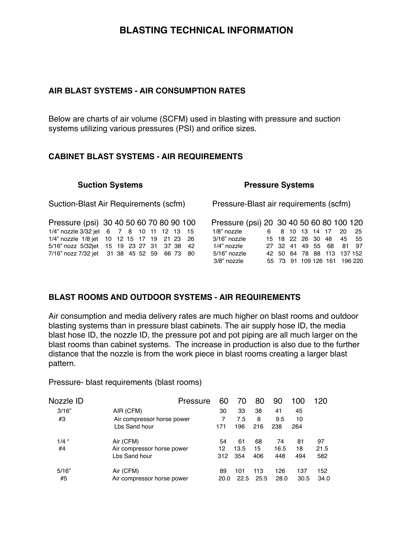#### **AIR BLAST SYSTEMS - AIR CONSUMPTION RATES**

Below are charts of air volume (SCFM) used in blasting with pressure and suction systems utilizing various pressures (PSI) and orifice sizes.

## **CABINET BLAST SYSTEMS - AIR REQUIREMENTS**

| <b>Suction Systems</b>                      |  |  |  |  |  | <b>Pressure Systems</b> |          |                                          |  |    |  |  |                      |  |  |           |         |
|---------------------------------------------|--|--|--|--|--|-------------------------|----------|------------------------------------------|--|----|--|--|----------------------|--|--|-----------|---------|
| Suction-Blast Air Requirements (scfm)       |  |  |  |  |  |                         |          | Pressure-Blast air requirements (scfm)   |  |    |  |  |                      |  |  |           |         |
| Pressure (psi) 30 40 50 60 70 80 90 100     |  |  |  |  |  |                         |          | Pressure (psi) 20 30 40 50 60 80 100 120 |  |    |  |  |                      |  |  |           |         |
| 1/4" nozzle 3/32 jet 6 7 8 10 11 12 13      |  |  |  |  |  |                         | - 15     | 1/8" nozzle                              |  | 6. |  |  | 8 10 13 14 17        |  |  | <b>20</b> | - 25    |
| 1/4" nozzle 1/8 jet 10 12 15 17 19 21 23 26 |  |  |  |  |  |                         |          | 3/16" nozzle                             |  |    |  |  | 15 18 22 26 30 48    |  |  |           | 45 55   |
| 5/16" nozz 5/32jet 15 19 23 27 31 37 38 42  |  |  |  |  |  |                         |          | 1/4" nozzle                              |  |    |  |  | 27 32 41 49 55 68    |  |  |           | 81 97   |
| 7/16" nozz 7/32 jet 31 38 45 52 59          |  |  |  |  |  |                         | 66 73 80 | 5/16" nozzle                             |  |    |  |  | 42 50 64 78 88 113   |  |  |           | 137 152 |
|                                             |  |  |  |  |  |                         |          | 3/8" nozzle                              |  |    |  |  | 55 73 91 109 126 161 |  |  |           | 196 220 |
|                                             |  |  |  |  |  |                         |          |                                          |  |    |  |  |                      |  |  |           |         |

## **BLAST ROOMS AND OUTDOOR SYSTEMS - AIR REQUIREMENTS**

Air consumption and media delivery rates are much higher on blast rooms and outdoor blasting systems than in pressure blast cabinets. The air supply hose ID, the media blast hose ID, the nozzle ID, the pressure pot and pot piping are all much larger on the blast rooms than cabinet systems. The increase in production is also due to the further distance that the nozzle is from the work piece in blast rooms creating a larger blast pattern.

Pressure- blast requirements (blast rooms)

| Nozzle ID | Pressure                   | 60   |      | 80   | 90   | 100  | 120  |
|-----------|----------------------------|------|------|------|------|------|------|
| 3/16"     | AIR (CFM)                  | 30   | 33   | 38   | 41   | 45   |      |
| #3        | Air compressor horse power | 7    | 7.5  | 8    | 9.5  | 10   |      |
|           | Lbs Sand hour              | 171  | 196  | 216  | 238  | 264  |      |
| $1/4$ "   | Air (CFM)                  | 54   | 61   | 68   | 74   | 81   | 97   |
| #4        | Air compressor horse power | 12   | 13.5 | 15   | 16.5 | 18   | 21.5 |
|           | Lbs Sand hour              | 312  | 354  | 406  | 448  | 494  | 582  |
| 5/16"     | Air (CFM)                  | 89   | 101  | 113  | 126  | 137  | 152  |
| #5        | Air compressor horse power | 20.0 | 22.5 | 25.5 | 28.0 | 30.5 | 34.0 |
|           |                            |      |      |      |      |      |      |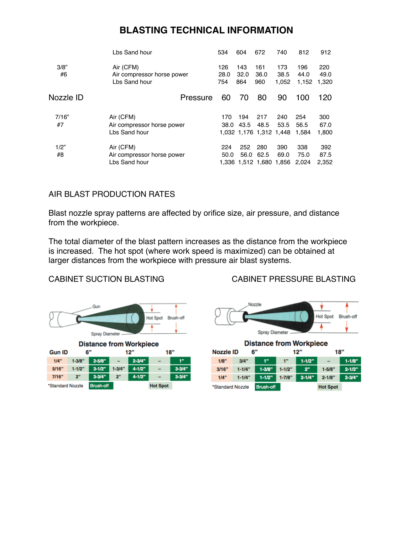| Lbs Sand hour                                            | 534                | 604                | 672                | 740                  | 812                                                | 912                  |
|----------------------------------------------------------|--------------------|--------------------|--------------------|----------------------|----------------------------------------------------|----------------------|
| Air (CFM)<br>Air compressor horse power<br>Lbs Sand hour | 126<br>28.0<br>754 | 143<br>32.0<br>864 | 161<br>36.0<br>960 | 173<br>38.5<br>1.052 | 196<br>44.0<br>1,152                               | 220<br>49.0<br>1,320 |
| Pressure                                                 | 60                 | 70                 | 80                 | 90                   | 100                                                | 120                  |
| Air (CFM)                                                | 170                | 194                | 217                | 240                  | 254                                                | 300                  |
| Air compressor horse power                               |                    | 43.5               | 48.5               | 53.5                 | 56.5                                               | 67.0                 |
| Lbs Sand hour                                            |                    |                    |                    |                      | 1.584                                              | 1,800                |
| Air (CFM)                                                | 224                | 252                | 280                | 390                  | 338                                                | 392                  |
| Air compressor horse power                               | 50.0               |                    | 62.5               | 69.0                 | 75.0                                               | 87.5                 |
| Lbs Sand hour                                            |                    |                    |                    |                      | 2.024                                              | 2.352                |
|                                                          |                    |                    | 38.0               | 56.0                 | 1,032 1,176 1,312 1,448<br>1,336 1,512 1,680 1,856 |                      |

## AIR BLAST PRODUCTION RATES

Blast nozzle spray patterns are affected by orifice size, air pressure, and distance from the workpiece.

The total diameter of the blast pattern increases as the distance from the workpiece is increased. The hot spot (where work speed is maximized) can be obtained at larger distances from the workpiece with pressure air blast systems.

## CABINET SUCTION BLASTING CABINET PRESSURE BLASTING



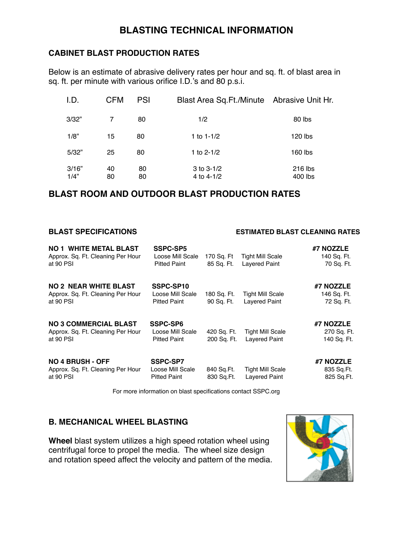## **CABINET BLAST PRODUCTION RATES**

Below is an estimate of abrasive delivery rates per hour and sq. ft. of blast area in sq. ft. per minute with various orifice I.D.'s and 80 p.s.i.

| I.D.  | <b>CFM</b> | <b>PSI</b> | Blast Area Sq.Ft./Minute Abrasive Unit Hr. |         |
|-------|------------|------------|--------------------------------------------|---------|
| 3/32" | 7          | 80         | 1/2                                        | 80 lbs  |
| 1/8"  | 15         | 80         | 1 to $1 - 1/2$                             | 120 lbs |
| 5/32" | 25         | 80         | 1 to $2 - 1/2$                             | 160 lbs |
| 3/16" | 40         | 80         | $3$ to $3-1/2$                             | 216 lbs |
| 1/4"  | 80         | 80         | 4 to 4-1/2                                 | 400 lbs |

## **BLAST ROOM AND OUTDOOR BLAST PRODUCTION RATES**

#### **BLAST SPECIFICATIONS ESTIMATED BLAST CLEANING RATES**

| <b>NO 1 WHITE METAL BLAST</b>     | SSPC-SP5            |             |                         | #7 NOZZLE   |
|-----------------------------------|---------------------|-------------|-------------------------|-------------|
| Approx. Sq. Ft. Cleaning Per Hour | Loose Mill Scale    | 170 Sq. Ft  | <b>Tight Mill Scale</b> | 140 Sq. Ft. |
| at 90 PSI                         | <b>Pitted Paint</b> | 85 Sq. Ft.  | <b>Lavered Paint</b>    | 70 Sq. Ft.  |
| <b>NO 2 NEAR WHITE BLAST</b>      | SSPC-SP10           |             |                         | #7 NOZZLE   |
| Approx. Sq. Ft. Cleaning Per Hour | Loose Mill Scale    | 180 Sq. Ft. | <b>Tight Mill Scale</b> | 146 Sq. Ft. |
| at 90 PSI                         | <b>Pitted Paint</b> | 90 Sq. Ft.  | <b>Layered Paint</b>    | 72 Sq. Ft.  |
| <b>NO 3 COMMERCIAL BLAST</b>      | <b>SSPC-SP6</b>     |             |                         | #7 NOZZLE   |
| Approx. Sq. Ft. Cleaning Per Hour | Loose Mill Scale    | 420 Sq. Ft. | <b>Tight Mill Scale</b> | 270 Sq. Ft. |
| at 90 PSI                         | <b>Pitted Paint</b> | 200 Sq. Ft. | Lavered Paint           | 140 Sq. Ft. |
| <b>NO 4 BRUSH - OFF</b>           | <b>SSPC-SP7</b>     |             |                         | #7 NOZZLE   |
| Approx. Sq. Ft. Cleaning Per Hour | Loose Mill Scale    | 840 Sq.Ft.  | <b>Tight Mill Scale</b> | 835 Sq.Ft.  |
| at 90 PSI                         | <b>Pitted Paint</b> | 830 Sq.Ft.  | Lavered Paint           | 825 Sq.Ft.  |
|                                   |                     |             |                         |             |

For more information on blast specifications contact SSPC.org

## **B. MECHANICAL WHEEL BLASTING**

**Wheel** blast system utilizes a high speed rotation wheel using centrifugal force to propel the media. The wheel size design and rotation speed affect the velocity and pattern of the media.

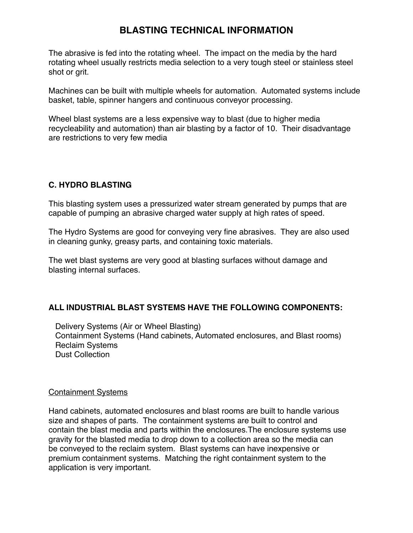The abrasive is fed into the rotating wheel. The impact on the media by the hard rotating wheel usually restricts media selection to a very tough steel or stainless steel shot or grit.

Machines can be built with multiple wheels for automation. Automated systems include basket, table, spinner hangers and continuous conveyor processing.

Wheel blast systems are a less expensive way to blast (due to higher media recycleability and automation) than air blasting by a factor of 10. Their disadvantage are restrictions to very few media

## **C. HYDRO BLASTING**

This blasting system uses a pressurized water stream generated by pumps that are capable of pumping an abrasive charged water supply at high rates of speed.

The Hydro Systems are good for conveying very fine abrasives. They are also used in cleaning gunky, greasy parts, and containing toxic materials.

The wet blast systems are very good at blasting surfaces without damage and blasting internal surfaces.

## **ALL INDUSTRIAL BLAST SYSTEMS HAVE THE FOLLOWING COMPONENTS:**

 Delivery Systems (Air or Wheel Blasting) Containment Systems (Hand cabinets, Automated enclosures, and Blast rooms) Reclaim Systems Dust Collection

## Containment Systems

Hand cabinets, automated enclosures and blast rooms are built to handle various size and shapes of parts. The containment systems are built to control and contain the blast media and parts within the enclosures.The enclosure systems use gravity for the blasted media to drop down to a collection area so the media can be conveyed to the reclaim system. Blast systems can have inexpensive or premium containment systems. Matching the right containment system to the application is very important.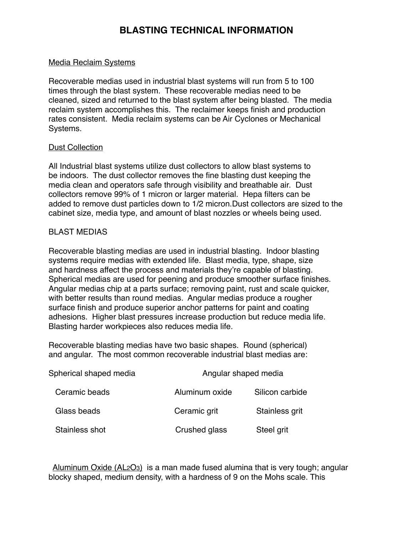#### Media Reclaim Systems

Recoverable medias used in industrial blast systems will run from 5 to 100 times through the blast system. These recoverable medias need to be cleaned, sized and returned to the blast system after being blasted. The media reclaim system accomplishes this. The reclaimer keeps finish and production rates consistent. Media reclaim systems can be Air Cyclones or Mechanical Systems.

#### Dust Collection

All Industrial blast systems utilize dust collectors to allow blast systems to be indoors. The dust collector removes the fine blasting dust keeping the media clean and operators safe through visibility and breathable air. Dust collectors remove 99% of 1 micron or larger material. Hepa filters can be added to remove dust particles down to 1/2 micron.Dust collectors are sized to the cabinet size, media type, and amount of blast nozzles or wheels being used.

#### BLAST MEDIAS

Recoverable blasting medias are used in industrial blasting. Indoor blasting systems require medias with extended life. Blast media, type, shape, size and hardness affect the process and materials they're capable of blasting. Spherical medias are used for peening and produce smoother surface finishes. Angular medias chip at a parts surface; removing paint, rust and scale quicker, with better results than round medias. Angular medias produce a rougher surface finish and produce superior anchor patterns for paint and coating adhesions. Higher blast pressures increase production but reduce media life. Blasting harder workpieces also reduces media life.

Recoverable blasting medias have two basic shapes. Round (spherical) and angular. The most common recoverable industrial blast medias are:

| Spherical shaped media | Angular shaped media |                 |  |  |  |  |
|------------------------|----------------------|-----------------|--|--|--|--|
| Ceramic beads          | Aluminum oxide       | Silicon carbide |  |  |  |  |
| Glass beads            | Ceramic grit         | Stainless grit  |  |  |  |  |
| Stainless shot         | Crushed glass        | Steel grit      |  |  |  |  |

 Aluminum Oxide (AL2O3) is a man made fused alumina that is very tough; angular blocky shaped, medium density, with a hardness of 9 on the Mohs scale. This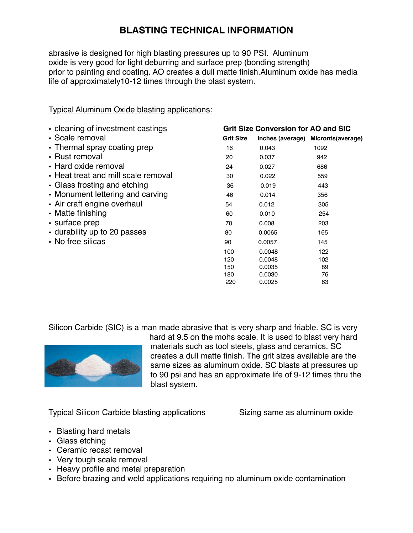abrasive is designed for high blasting pressures up to 90 PSI. Aluminum oxide is very good for light deburring and surface prep (bonding strength) prior to painting and coating. AO creates a dull matte finish.Aluminum oxide has media life of approximately10-12 times through the blast system.

| • cleaning of investment castings   |                  | <b>Grit Size Conversion for AO and SIC</b> |                                     |
|-------------------------------------|------------------|--------------------------------------------|-------------------------------------|
| • Scale removal                     | <b>Grit Size</b> |                                            | Inches (average) Micronts (average) |
| • Thermal spray coating prep        | 16               | 0.043                                      | 1092                                |
| • Rust removal                      | 20               | 0.037                                      | 942                                 |
| • Hard oxide removal                | 24               | 0.027                                      | 686                                 |
| • Heat treat and mill scale removal | 30               | 0.022                                      | 559                                 |
| • Glass frosting and etching        | 36               | 0.019                                      | 443                                 |
| • Monument lettering and carving    | 46               | 0.014                                      | 356                                 |
| • Air craft engine overhaul         | 54               | 0.012                                      | 305                                 |
| • Matte finishing                   | 60               | 0.010                                      | 254                                 |
| • surface prep                      | 70               | 0.008                                      | 203                                 |
| • durability up to 20 passes        | 80               | 0.0065                                     | 165                                 |
| • No free silicas                   | 90               | 0.0057                                     | 145                                 |
|                                     | 100              | 0.0048                                     | 122                                 |
|                                     | 120              | 0.0048                                     | 102                                 |
|                                     | 150              | 0.0035                                     | 89                                  |
|                                     | 180              | 0.0030                                     | 76                                  |

Typical Aluminum Oxide blasting applications:

Silicon Carbide (SIC) is a man made abrasive that is very sharp and friable. SC is very

 $220$  0.0025 63



hard at 9.5 on the mohs scale. It is used to blast very hard materials such as tool steels, glass and ceramics. SC creates a dull matte finish. The grit sizes available are the same sizes as aluminum oxide. SC blasts at pressures up to 90 psi and has an approximate life of 9-12 times thru the blast system.

Typical Silicon Carbide blasting applications Sizing same as aluminum oxide

- **•** Blasting hard metals
- **•** Glass etching
- **•** Ceramic recast removal
- **•** Very tough scale removal
- **•** Heavy profile and metal preparation
- **•** Before brazing and weld applications requiring no aluminum oxide contamination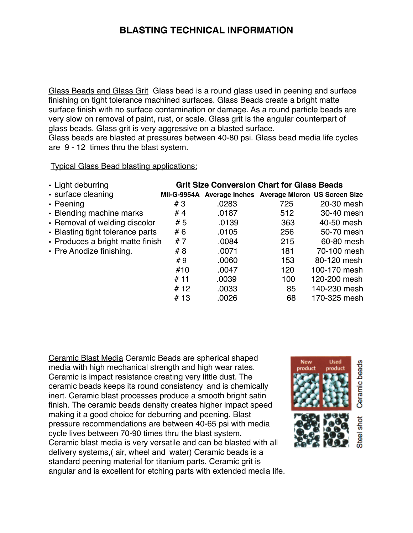Glass Beads and Glass Grit Glass bead is a round glass used in peening and surface finishing on tight tolerance machined surfaces. Glass Beads create a bright matte surface finish with no surface contamination or damage. As a round particle beads are very slow on removal of paint, rust, or scale. Glass grit is the angular counterpart of glass beads. Glass grit is very aggressive on a blasted surface.

Glass beads are blasted at pressures between 40-80 psi. Glass bead media life cycles are 9 - 12 times thru the blast system.

Typical Glass Bead blasting applications:

| • Light deburring                |                    | <b>Grit Size Conversion Chart for Glass Beads</b> |                                              |              |
|----------------------------------|--------------------|---------------------------------------------------|----------------------------------------------|--------------|
| · surface cleaning               | <b>Mil-G-9954A</b> |                                                   | Average Inches Average Micron US Screen Size |              |
| $\cdot$ Peening                  | #3                 | .0283                                             | 725                                          | 20-30 mesh   |
| • Blending machine marks         | #4                 | .0187                                             | 512                                          | 30-40 mesh   |
| • Removal of welding discolor    | #5                 | .0139                                             | 363                                          | 40-50 mesh   |
| • Blasting tight tolerance parts | #6                 | .0105                                             | 256                                          | 50-70 mesh   |
| • Produces a bright matte finish | #7                 | .0084                                             | 215                                          | 60-80 mesh   |
| • Pre Anodize finishing.         | #8                 | .0071                                             | 181                                          | 70-100 mesh  |
|                                  | #9                 | .0060                                             | 153                                          | 80-120 mesh  |
|                                  | #10                | .0047                                             | 120                                          | 100-170 mesh |
|                                  | #11                | .0039                                             | 100                                          | 120-200 mesh |
|                                  | # 12               | .0033                                             | 85                                           | 140-230 mesh |
|                                  | #13                | .0026                                             | 68                                           | 170-325 mesh |

Ceramic Blast Media Ceramic Beads are spherical shaped media with high mechanical strength and high wear rates. Ceramic is impact resistance creating very little dust. The ceramic beads keeps its round consistency and is chemically inert. Ceramic blast processes produce a smooth bright satin finish. The ceramic beads density creates higher impact speed making it a good choice for deburring and peening. Blast pressure recommendations are between 40-65 psi with media cycle lives between 70-90 times thru the blast system. Ceramic blast media is very versatile and can be blasted with all delivery systems,( air, wheel and water) Ceramic beads is a standard peening material for titanium parts. Ceramic grit is angular and is excellent for etching parts with extended media life.

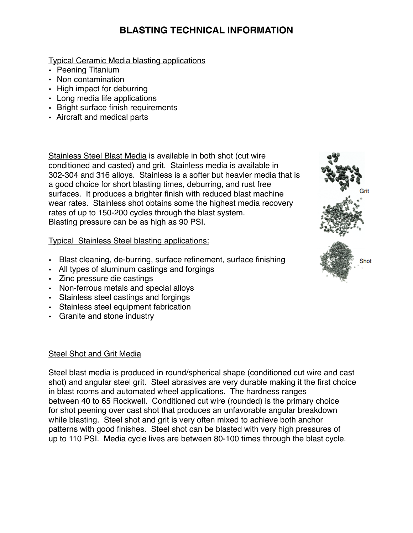Typical Ceramic Media blasting applications

- Peening Titanium
- Non contamination
- High impact for deburring
- Long media life applications
- Bright surface finish requirements
- Aircraft and medical parts

Stainless Steel Blast Media is available in both shot (cut wire conditioned and casted) and grit. Stainless media is available in 302-304 and 316 alloys. Stainless is a softer but heavier media that is a good choice for short blasting times, deburring, and rust free surfaces. It produces a brighter finish with reduced blast machine wear rates. Stainless shot obtains some the highest media recovery rates of up to 150-200 cycles through the blast system. Blasting pressure can be as high as 90 PSI.

## Typical Stainless Steel blasting applications:

- Blast cleaning, de-burring, surface refinement, surface finishing
- All types of aluminum castings and forgings
- Zinc pressure die castings
- Non-ferrous metals and special alloys
- Stainless steel castings and forgings
- Stainless steel equipment fabrication
- Granite and stone industry

## Steel Shot and Grit Media

Steel blast media is produced in round/spherical shape (conditioned cut wire and cast shot) and angular steel grit. Steel abrasives are very durable making it the first choice in blast rooms and automated wheel applications. The hardness ranges between 40 to 65 Rockwell. Conditioned cut wire (rounded) is the primary choice for shot peening over cast shot that produces an unfavorable angular breakdown while blasting. Steel shot and grit is very often mixed to achieve both anchor patterns with good finishes. Steel shot can be blasted with very high pressures of up to 110 PSI. Media cycle lives are between 80-100 times through the blast cycle.

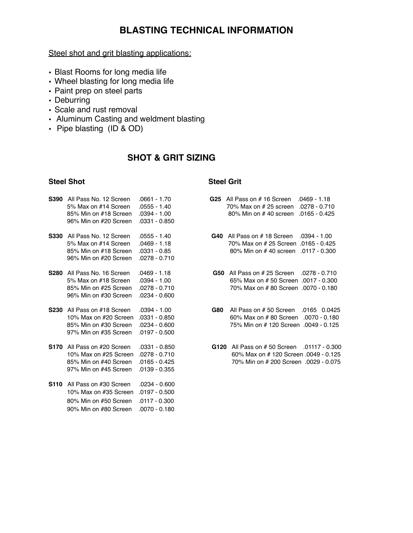Steel shot and grit blasting applications:

- Blast Rooms for long media life
- Wheel blasting for long media life
- Paint prep on steel parts
- Deburring
- Scale and rust removal
- Aluminum Casting and weldment blasting
- Pipe blasting (ID & OD)

## **SHOT & GRIT SIZING**

#### **Steel Shot Steel Grit All Steel Grit All Steel Grit All Steel Grit All Steel Grit**

| <b>S390</b> | All Pass No. 12 Screen<br>5% Max on #14 Screen<br>85% Min on #18 Screen<br>96% Min on #20 Screen              | .0661 - 1.70<br>.0555 - 1.40<br>.0394 - 1.00<br>.0331 - 0.850         |     | <b>G25</b> All Pass on #16 Screen .0469 - 1.18<br>70% Max on # 25 screen .0278 - 0.710<br>80% Min on #40 screen .0165 - 0.425 |  |
|-------------|---------------------------------------------------------------------------------------------------------------|-----------------------------------------------------------------------|-----|-------------------------------------------------------------------------------------------------------------------------------|--|
|             | <b>S330</b> All Pass No. 12 Screen<br>5% Max on #14 Screen<br>85% Min on #18 Screen<br>96% Min on #20 Screen  | .0555 - 1.40<br>$.0469 - 1.18$<br>.0331 - 0.85<br>.0278 - 0.710       |     | <b>G40</b> All Pass on #18 Screen .0394 - 1.00<br>70% Max on # 25 Screen .0165 - 0.425<br>80% Min on #40 screen .0117 - 0.300 |  |
| <b>S280</b> | All Pass No. 16 Screen<br>5% Max on #18 Screen<br>85% Min on #25 Screen<br>96% Min on #30 Screen              | $.0469 - 1.18$<br>.0394 - 1.00<br>.0278 - 0.710<br>$.0234 - 0.600$    |     | G50 All Pass on # 25 Screen .0278 - 0.710<br>65% Max on #50 Screen .0017 - 0.30<br>70% Max on #80 Screen .0070 - 0.18         |  |
| <b>S230</b> | All Pass on #18 Screen<br>10% Max on #20 Screen<br>85% Min on #30 Screen<br>97% Min on #35 Screen             | .0394 - 1.00<br>$.0331 - 0.850$<br>$.0234 - 0.600$<br>$.0197 - 0.500$ | G80 | All Pass on #50 Screen .0165 0.04<br>60% Max on #80 Screen .0070 - 0.18<br>75% Min on #120 Screen .0049 - 0.12                |  |
|             | <b>S170</b> All Pass on #20 Screen<br>10% Max on #25 Screen<br>85% Min on #40 Screen<br>97% Min on #45 Screen | $.0331 - 0.850$<br>.0278 - 0.710<br>$.0165 - 0.425$<br>.0139 - 0.355  |     | G120 All Pass on #50 Screen .01117 - 0.3<br>60% Max on #120 Screen .0049 - 0.1<br>70% Min on # 200 Screen .0029 - 0.0         |  |
| <b>S110</b> | All Pass on #30 Screen<br>10% Max on #35 Screen<br>80% Min on #50 Screen<br>90% Min on #80 Screen             | .0234 - 0.600<br>$.0197 - 0.500$<br>$.0117 - 0.300$<br>.0070 - 0.180  |     |                                                                                                                               |  |

| G25 All Pass on #16 Screen .0469 - 1.18 |  |
|-----------------------------------------|--|
| 70% Max on # 25 screen .0278 - 0.710    |  |
| 80% Min on #40 screen .0165 - 0.425     |  |
|                                         |  |

- **S330** All Pass No. 12 Screen .0555 1.40 **G40** All Pass on # 18 Screen .0394 1.00 5% Max on #14 Screen .0469 - 1.18 70% Max on # 25 Screen .0165 - 0.425 80% Min on #40 screen .0117 - 0.300
- **G50** All Pass on # 25 Screen .0278 0.710 5% Max on #18 Screen .0394 - 1.00 65% Max on # 50 Screen .0017 - 0.300 85% Min on #25 Screen .0278 - 0.710 70% Max on # 80 Screen .0070 - 0.180
- **G80** All Pass on # 50 Screen .0165 0.0425 10% Max on #20 Screen .0331 - 0.850 60% Max on # 80 Screen .0070 - 0.180 75% Min on # 120 Screen .0049 - 0.125
- **S170** All Pass on #20 Screen .0331 0.850 **G120** All Pass on # 50 Screen .01117 0.300 10% Max on #25 Screen .0278 - 0.710 60% Max on # 120 Screen .0049 - 0.125 70% Min on #200 Screen .0029 - 0.075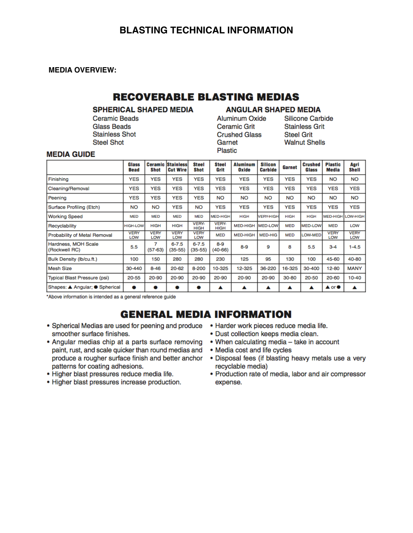#### **MEDIA OVERVIEW:**

# **RECOVERABLE BLASTING MEDIAS**

#### **SPHERICAL SHAPED MEDIA**

**Ceramic Beads Glass Beads Stainless Shot Steel Shot** 

#### **ANGULAR SHAPED MEDIA**

**Aluminum Oxide Ceramic Grit Crushed Glass** Garnet Plastic

**Silicone Carbide Stainless Grit Steel Grit Walnut Shells** 

#### **MEDIA GUIDE**

|                                      | Glass<br><b>Bead</b> | <b>Shot</b>        | <b>Ceramic Stainless</b><br><b>Cut Wire</b> | <b>Steel</b><br><b>Shot</b> | <b>Steel</b><br>Grit        | <b>Aluminum</b><br>Oxide | <b>Silicon</b><br><b>Carbide</b> | Garnet      | <b>Crushed</b><br>Glass | <b>Plastic</b><br>Media                   | Agri<br>Shell      |
|--------------------------------------|----------------------|--------------------|---------------------------------------------|-----------------------------|-----------------------------|--------------------------|----------------------------------|-------------|-------------------------|-------------------------------------------|--------------------|
| Finishing                            | YES                  | <b>YES</b>         | <b>YES</b>                                  | <b>YES</b>                  | <b>YES</b>                  | <b>YES</b>               | <b>YES</b>                       | <b>YES</b>  | <b>YES</b>              | <b>NO</b>                                 | <b>NO</b>          |
| Cleaning/Removal                     | YES                  | <b>YES</b>         | <b>YES</b>                                  | <b>YES</b>                  | YES                         | <b>YES</b>               | <b>YES</b>                       | <b>YES</b>  | <b>YES</b>              | YES                                       | <b>YES</b>         |
| Peening                              | <b>YES</b>           | <b>YES</b>         | <b>YES</b>                                  | <b>YES</b>                  | <b>NO</b>                   | <b>NO</b>                | <b>NO</b>                        | <b>NO</b>   | <b>NO</b>               | <b>NO</b>                                 | <b>NO</b>          |
| Surface Profiling (Etch)             | <b>NO</b>            | <b>NO</b>          | <b>YES</b>                                  | <b>NO</b>                   | <b>YES</b>                  | <b>YES</b>               | <b>YES</b>                       | <b>YES</b>  | <b>YES</b>              | <b>YES</b>                                | <b>YES</b>         |
| <b>Working Speed</b>                 | <b>MED</b>           | <b>MED</b>         | <b>MED</b>                                  | <b>MED</b>                  | <b>MED-HIGH</b>             | <b>HIGH</b>              | <b>VERY-HIGH</b>                 | <b>HIGH</b> | <b>HIGH</b>             | MED-HIGH LOW-HIGH                         |                    |
| Recyclability                        | <b>HIGH-LOW</b>      | <b>HIGH</b>        | <b>HIGH</b>                                 | VERY-<br><b>HIGH</b>        | <b>VERY-</b><br><b>HIGH</b> | <b>MED-HIGH</b>          | <b>MED-LOW</b>                   | <b>MED</b>  | <b>MED-LOW</b>          | <b>MED</b>                                | LOW                |
| <b>Probability of Metal Removal</b>  | <b>VERY</b><br>LOW   | <b>VERY</b><br>LOW | <b>VERY</b><br>LOW                          | <b>VERY</b><br>LOW          | <b>MED</b>                  | <b>MED-HIGH</b>          | <b>MED-HIG</b>                   | <b>MED</b>  | <b>LOW-MED</b>          | <b>VERY</b><br><b>LOW</b>                 | <b>VERY</b><br>LOW |
| Hardness, MOH Scale<br>(Rockwell RC) | 5.5                  | 7<br>$(57-63)$     | $6 - 7.5$<br>$(35-55)$                      | $6 - 7.5$<br>$(35-55)$      | $8 - 9$<br>(40-66)          | $8 - 9$                  | 9                                | 8           | 5.5                     | $3 - 4$                                   | $1 - 4.5$          |
| Bulk Density (lb/cu.ft.)             | 100                  | 150                | 280                                         | 280                         | 230                         | 125                      | 95                               | 130         | 100                     | 45-60                                     | 40-80              |
| <b>Mesh Size</b>                     | 30-440               | $8 - 46$           | $20 - 62$                                   | 8-200                       | 10-325                      | 12-325                   | 36-220                           | 16-325      | 30-400                  | $12 - 80$                                 | <b>MANY</b>        |
| <b>Typical Blast Pressure (psi)</b>  | $20 - 55$            | 20-90              | 20-90                                       | 20-90                       | 20-90                       | 20-90                    | 20-90                            | $30 - 80$   | 20-50                   | 20-60                                     | $10 - 40$          |
| Shapes: ▲ Angular; ● Spherical       | $\bullet$            |                    |                                             |                             | ▴                           | ▴                        | ▴                                | ▴           | ▴                       | $\blacktriangle$ or $\blacktriangleright$ | ▴                  |

\*Above information is intended as a general reference guide

# **GENERAL MEDIA INFORMATION**

- Spherical Medias are used for peening and produce Harder work pieces reduce media life. smoother surface finishes.
- Angular medias chip at a parts surface removing paint, rust, and scale quicker than round medias and produce a rougher surface finish and better anchor patterns for coating adhesions.
- · Higher blast pressures reduce media life.
- Higher blast pressures increase production.
- 
- · Dust collection keeps media clean.
- . When calculating media take in account
- Media cost and life cycles
- · Disposal fees (if blasting heavy metals use a very recvclable media)
- Production rate of media, labor and air compressor expense.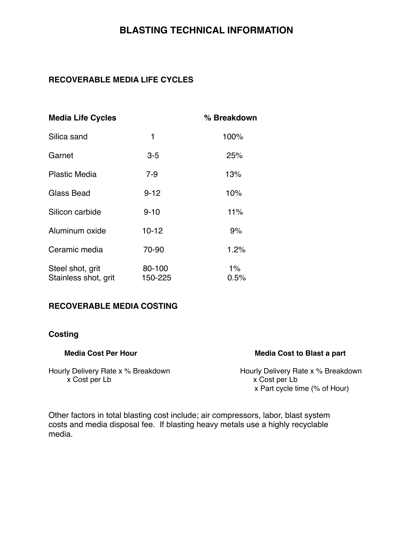## **RECOVERABLE MEDIA LIFE CYCLES**

| <b>Media Life Cycles</b>                 |                   | % Breakdown |
|------------------------------------------|-------------------|-------------|
| Silica sand                              | 1                 | 100%        |
| Garnet                                   | $3-5$             | 25%         |
| <b>Plastic Media</b>                     | $7 - 9$           | 13%         |
| Glass Bead                               | $9 - 12$          | 10%         |
| Silicon carbide                          | $9 - 10$          | 11%         |
| Aluminum oxide                           | $10 - 12$         | 9%          |
| Ceramic media                            | 70-90             | 1.2%        |
| Steel shot, grit<br>Stainless shot, grit | 80-100<br>150-225 | 1%<br>0.5%  |

## **RECOVERABLE MEDIA COSTING**

## **Costing**

#### Media Cost Per Hour **Media Cost to Blast a part**

#### Hourly Delivery Rate x % Breakdown<br>
x Cost per Lb<br>
x Cost per Lb<br>
x Cost per Lb x Cost per Lb

x Part cycle time (% of Hour)

Other factors in total blasting cost include; air compressors, labor, blast system costs and media disposal fee. If blasting heavy metals use a highly recyclable media.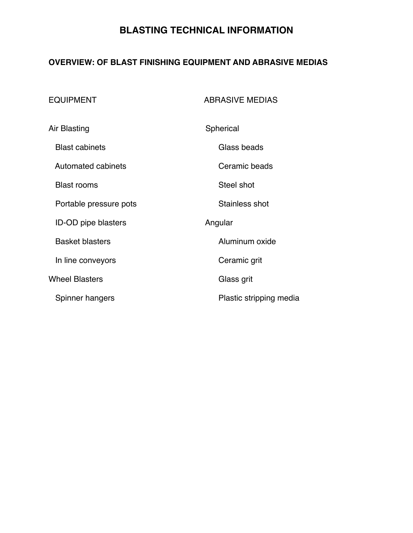## **OVERVIEW: OF BLAST FINISHING EQUIPMENT AND ABRASIVE MEDIAS**

| <b>EQUIPMENT</b>           | <b>ABRASIVE MEDIAS</b>  |  |
|----------------------------|-------------------------|--|
| Air Blasting               | Spherical               |  |
| <b>Blast cabinets</b>      | Glass beads             |  |
| Automated cabinets         | Ceramic beads           |  |
| <b>Blast rooms</b>         | Steel shot              |  |
| Portable pressure pots     | Stainless shot          |  |
| <b>ID-OD pipe blasters</b> | Angular                 |  |
| <b>Basket blasters</b>     | Aluminum oxide          |  |
| In line conveyors          | Ceramic grit            |  |
| <b>Wheel Blasters</b>      | Glass grit              |  |
| Spinner hangers            | Plastic stripping media |  |